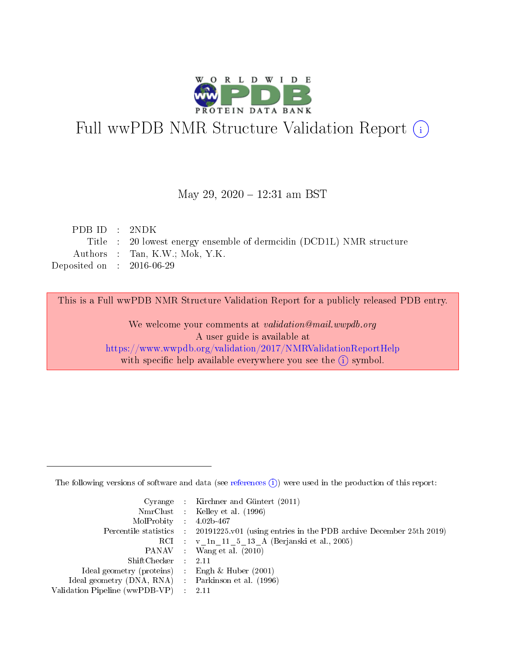

# Full wwPDB NMR Structure Validation Report (i)

## May 29, 2020 - 12:31 am BST

| PDBID : 2NDK                |                                                                     |
|-----------------------------|---------------------------------------------------------------------|
|                             | Title : 20 lowest energy ensemble of dermidin (DCD1L) NMR structure |
|                             | Authors : Tan, K.W.; Mok, Y.K.                                      |
| Deposited on : $2016-06-29$ |                                                                     |

This is a Full wwPDB NMR Structure Validation Report for a publicly released PDB entry.

We welcome your comments at validation@mail.wwpdb.org A user guide is available at <https://www.wwpdb.org/validation/2017/NMRValidationReportHelp> with specific help available everywhere you see the  $(i)$  symbol.

The following versions of software and data (see [references](https://www.wwpdb.org/validation/2017/NMRValidationReportHelp#references)  $(1)$ ) were used in the production of this report:

|                                                    | Cyrange : Kirchner and Güntert $(2011)$                                                    |
|----------------------------------------------------|--------------------------------------------------------------------------------------------|
|                                                    | NmrClust : Kelley et al. (1996)                                                            |
| $MolProbability$ 4.02b-467                         |                                                                                            |
|                                                    | Percentile statistics : 20191225.v01 (using entries in the PDB archive December 25th 2019) |
|                                                    | RCI : v 1n 11 5 13 A (Berjanski et al., 2005)                                              |
|                                                    | PANAV Wang et al. (2010)                                                                   |
| $ShiftChecker$ : 2.11                              |                                                                                            |
| Ideal geometry (proteins) : Engh $\&$ Huber (2001) |                                                                                            |
| Ideal geometry (DNA, RNA) Parkinson et al. (1996)  |                                                                                            |
| Validation Pipeline (wwPDB-VP)                     | 2.11                                                                                       |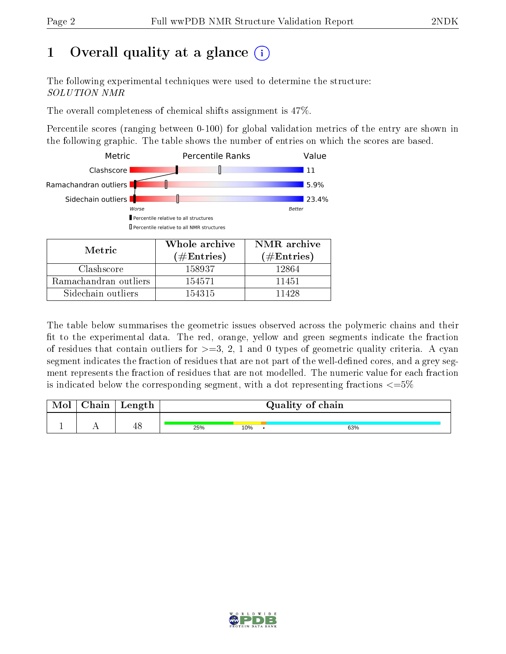# 1 [O](https://www.wwpdb.org/validation/2017/NMRValidationReportHelp#overall_quality)verall quality at a glance  $(i)$

The following experimental techniques were used to determine the structure: SOLUTION NMR

The overall completeness of chemical shifts assignment is 47%.

Percentile scores (ranging between 0-100) for global validation metrics of the entry are shown in the following graphic. The table shows the number of entries on which the scores are based.



| Metric                | (# $\rm{Entries}$ ) | $(\#Entries)$ |
|-----------------------|---------------------|---------------|
| Clashscore            | 158937              | 12864         |
| Ramachandran outliers | 154571              | 11451         |
| Sidechain outliers    | 154315              | 11428         |

The table below summarises the geometric issues observed across the polymeric chains and their fit to the experimental data. The red, orange, yellow and green segments indicate the fraction of residues that contain outliers for  $>=3, 2, 1$  and 0 types of geometric quality criteria. A cyan segment indicates the fraction of residues that are not part of the well-defined cores, and a grey segment represents the fraction of residues that are not modelled. The numeric value for each fraction is indicated below the corresponding segment, with a dot representing fractions  $\epsilon = 5\%$ 

| <b>Mol</b> | ${\bf Chain}$ | Length |     |     | Quality of chain |
|------------|---------------|--------|-----|-----|------------------|
|            |               | 48     | 25% | 10% | 63%              |

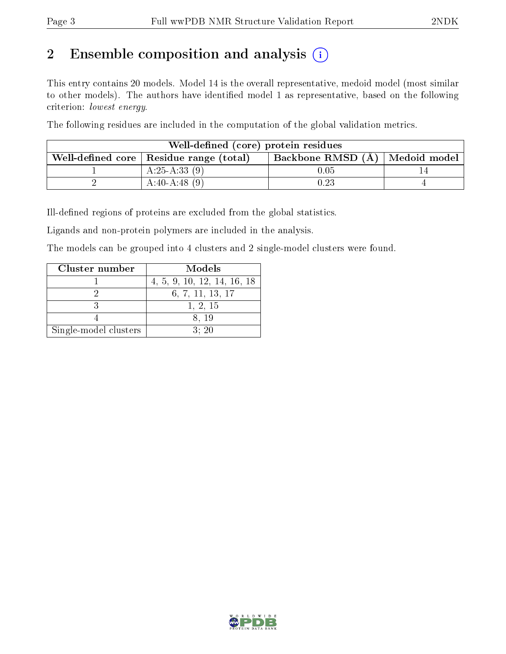# 2 Ensemble composition and analysis  $(i)$

This entry contains 20 models. Model 14 is the overall representative, medoid model (most similar to other models). The authors have identified model 1 as representative, based on the following criterion: lowest energy.

The following residues are included in the computation of the global validation metrics.

| Well-defined (core) protein residues                                            |                 |          |  |  |  |  |  |  |
|---------------------------------------------------------------------------------|-----------------|----------|--|--|--|--|--|--|
| Backbone RMSD (A)   Medoid model  <br>Well-defined core   Residue range (total) |                 |          |  |  |  |  |  |  |
|                                                                                 | A:25-A:33 $(9)$ | $0.05\,$ |  |  |  |  |  |  |
|                                                                                 | $A:40-A:48(9)$  | $0.23\,$ |  |  |  |  |  |  |

Ill-defined regions of proteins are excluded from the global statistics.

Ligands and non-protein polymers are included in the analysis.

The models can be grouped into 4 clusters and 2 single-model clusters were found.

| Cluster number        | Models                      |
|-----------------------|-----------------------------|
|                       | 4, 5, 9, 10, 12, 14, 16, 18 |
|                       | 6, 7, 11, 13, 17            |
|                       | 1, 2, 15                    |
|                       | 8.19                        |
| Single-model clusters | 3:20                        |

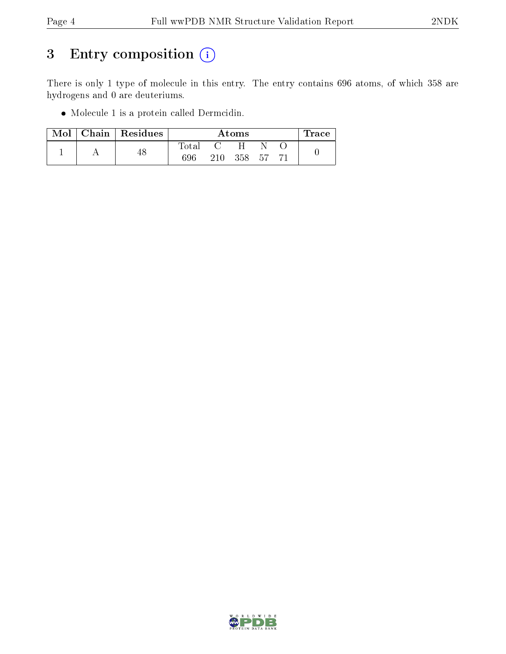# 3 Entry composition (i)

There is only 1 type of molecule in this entry. The entry contains 696 atoms, of which 358 are hydrogens and 0 are deuteriums.

Molecule 1 is a protein called Dermcidin.

| $\operatorname{Mol}$ $\parallel$ | $\mid$ Chain $\mid$ Residues |       | Trace |     |     |  |  |
|----------------------------------|------------------------------|-------|-------|-----|-----|--|--|
|                                  |                              | Total |       |     |     |  |  |
|                                  | 48                           | 696   | 210   | 358 | .57 |  |  |

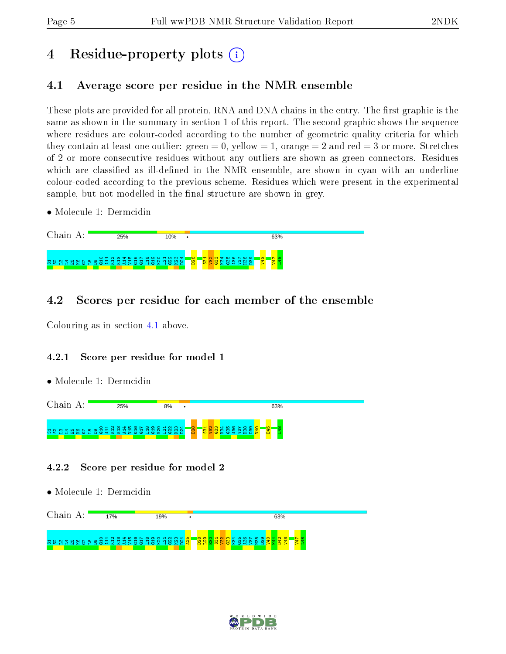# 4 Residue-property plots  $\binom{1}{1}$

# <span id="page-4-0"></span>4.1 Average score per residue in the NMR ensemble

These plots are provided for all protein, RNA and DNA chains in the entry. The first graphic is the same as shown in the summary in section 1 of this report. The second graphic shows the sequence where residues are colour-coded according to the number of geometric quality criteria for which they contain at least one outlier: green  $= 0$ , yellow  $= 1$ , orange  $= 2$  and red  $= 3$  or more. Stretches of 2 or more consecutive residues without any outliers are shown as green connectors. Residues which are classified as ill-defined in the NMR ensemble, are shown in cyan with an underline colour-coded according to the previous scheme. Residues which were present in the experimental sample, but not modelled in the final structure are shown in grey.

• Molecule 1: Dermcidin

| Chain             | 25%                               | 10% |             | 63%                                                                                                                 |  |
|-------------------|-----------------------------------|-----|-------------|---------------------------------------------------------------------------------------------------------------------|--|
| -ಇಂ<br>ة ت<br>. m | <b>AXX 4&gt;00 HOXHOXA</b><br>-65 |     | <b>Page</b> | Ħ<br>∞ ာ<br>m i<br>$\sim$<br>ഥ<br>$\circ$ $\sim$<br>$\infty$<br><u>m</u><br>ണ<br>$\omega >$<br><b>UXU ∢&gt; H A</b> |  |

# 4.2 Scores per residue for each member of the ensemble

Colouring as in section [4.1](#page-4-0) above.

## 4.2.1 Score per residue for model 1

• Molecule 1: Dermcidin

Chain A: 25% 8% 63% S1S2L3L4E5K6G7 L8 D9 G10 A11 K12 K13 A14 V15 G16 G17 L18 G19 K20 L21 G22  $\mathbb{S}^3$  $\frac{24}{2}$ D28  $\frac{5}{2}$  $\frac{2}{3}$  $\frac{33}{2}$ K34 G35 A36 V37 H38  $\frac{3}{2}$ V40 D45  $\frac{48}{1}$ 

- 4.2.2 Score per residue for model 2
- Molecule 1: Dermcidin

| :hain                  | 7% | 19% | 63% |
|------------------------|----|-----|-----|
| <mark>그 땅 중 많</mark> . |    |     |     |

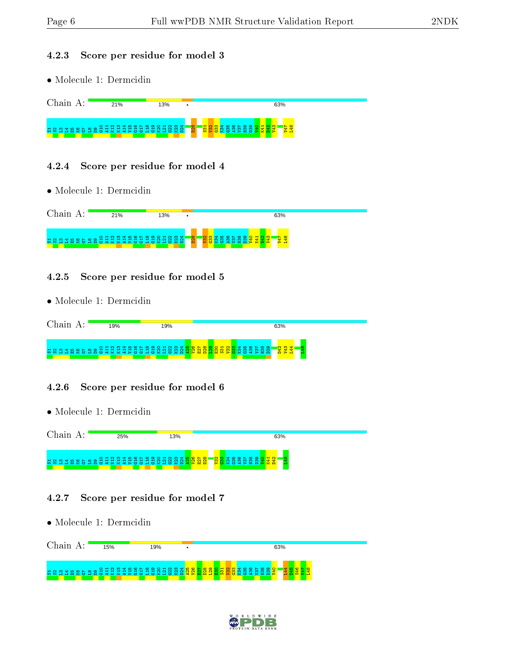#### 4.2.3 Score per residue for model 3

• Molecule 1: Dermcidin

|                | 21% | 13% |            | 63%                |
|----------------|-----|-----|------------|--------------------|
| $\blacksquare$ |     |     | <b>BZD</b> | $\geq$ $\Box$<br>æ |

#### 4.2.4 Score per residue for model 4

• Molecule 1: Dermcidin

| ⊥'hain                                                             | 21% | 13% |               | 63%                                           |
|--------------------------------------------------------------------|-----|-----|---------------|-----------------------------------------------|
| <u>ិង និង ដូចទី ទី មិន មិន ដូចទី ដូចទី មិន មិន ដូចទី ដូចទី ដូច</u> |     |     | $\infty$<br>ö | <b>co</b><br>ന<br>4Z<br>æ<br>5<br>ಾ<br>-<br>н |

## 4.2.5 Score per residue for model 5

• Molecule 1: Dermcidin

| ∷hain | 19%         | 19%                                                      | 63%                                                                          |  |
|-------|-------------|----------------------------------------------------------|------------------------------------------------------------------------------|--|
| 22375 | <b>SSSI</b> | O H U W 4 IN O L W O O H U W W 4 IN O L W<br>1 급 호 업 업 호 | က္<br>$\infty$ $\infty$<br>הו יה<br>ia<br>S<br>$\mathbf -$<br>$\circ$ $\sim$ |  |

## 4.2.6 Score per residue for model 6

• Molecule 1: Dermcidin



## 4.2.7 Score per residue for model 7

• Molecule 1: Dermcidin



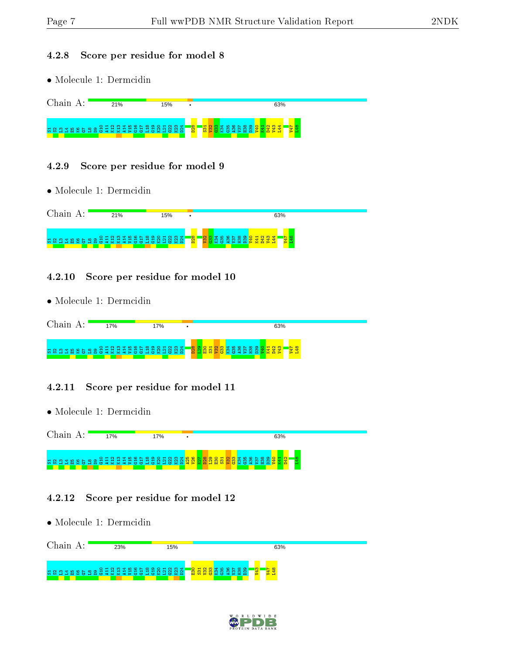#### 4.2.8 Score per residue for model 8

• Molecule 1: Dermcidin

|                                                          | 21% | 15% |              | 63% |  |
|----------------------------------------------------------|-----|-----|--------------|-----|--|
| $\blacksquare$<br>ന<br>$\mathbf{r} \cap \mathbf{r} \cap$ |     |     | <b>Paper</b> |     |  |

#### 4.2.9 Score per residue for model 9

• Molecule 1: Dermcidin

| $\gamma$ <sub>hain</sub> | 21%                                                        | 15% |                  | 63%                        |
|--------------------------|------------------------------------------------------------|-----|------------------|----------------------------|
| $H_{\rm N}$<br>ന         | <u>រ ។ ង ន ទ ទ ១ ១ ១ ដ ជ ជ ជ ដ ម ទ ១ ១ ១ ១ ១ ១ ១ ១ គ ប</u> |     | <mark>8gq</mark> | ÷<br>ж<br>÷<br>ᆊ<br>m<br>- |

### 4.2.10 Score per residue for model 10

• Molecule 1: Dermcidin

| Chain       | 17%          | 17%               |                | 63%                                                                |
|-------------|--------------|-------------------|----------------|--------------------------------------------------------------------|
| <b>2237</b> | 848845881888 | OHNM4 NOL WOOHNM4 | <b>R &amp;</b> | 않 <u>참</u><br>$\frac{4}{25}$<br>$\infty$<br>ం<br>္တ<br>~<br>需<br>- |

## 4.2.11 Score per residue for model 11

• Molecule 1: Dermcidin



## 4.2.12 Score per residue for model 12

• Molecule 1: Dermcidin Chain A: 23% 15%





63%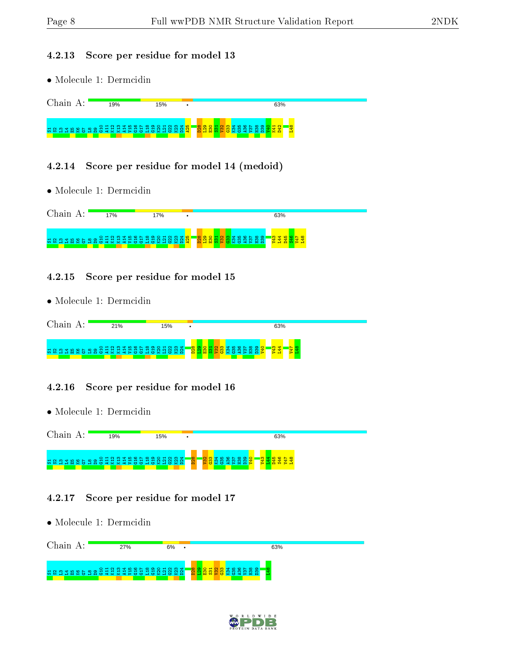#### 4.2.13 Score per residue for model 13

• Molecule 1: Dermcidin

|                                                    | 19%                                    | 15%              | 63%                                                                        |
|----------------------------------------------------|----------------------------------------|------------------|----------------------------------------------------------------------------|
| $\blacksquare$<br>ം പ<br><u> നനപപ</u><br>7657<br>. | മത<br>$\alpha$ MM $\alpha$ $>$ mm<br>. | r all es<br>- 22 | $\infty$<br>$\sim$<br>ര<br>m<br>$\mathbf{H}$<br>ന<br>a mar<br><b>COLOR</b> |

### 4.2.14 Score per residue for model 14 (medoid)

• Molecule 1: Dermcidin



### 4.2.15 Score per residue for model 15

• Molecule 1: Dermcidin

| Chain | 21%                     | 15%            | ٠                     | 63%         |  |
|-------|-------------------------|----------------|-----------------------|-------------|--|
| 7.893 | OHNMTLONDOOHNMT<br>2227 | $\sim$<br>- 52 | <mark>-ஐ ஐ ஐ ;</mark> | က<br>쁬<br>m |  |

## 4.2.16 Score per residue for model 16

• Molecule 1: Dermcidin



## 4.2.17 Score per residue for model 17

• Molecule 1: Dermcidin

| Chain. | 27% | 6%                      | 63%                              |  |
|--------|-----|-------------------------|----------------------------------|--|
|        |     | $\circ$ $\circ$ $\circ$ | $\sim$<br>ം പാര<br>ഥ<br>÷<br>- - |  |

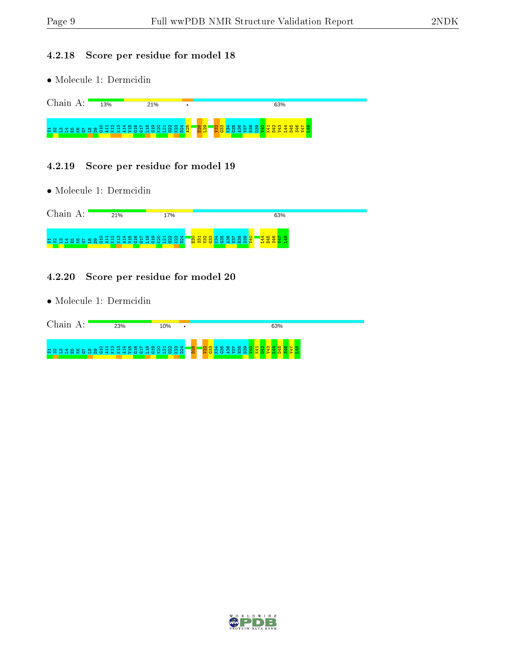#### 4.2.18 Score per residue for model 18

• Molecule 1: Dermcidin

Chain A:  $\blacksquare$  $13%$ 21% 63% S1S2L3L4E5K6G7 L8 D9 G10 A11 K12 K13 A14 V15 G16 G17 L18 G19 K20 L21 G22 K23 D24 A25 <u>នន្ទ</u> <u>ន្ទ្រីទី និង ទី និង ទី និង ទី និង និ</u> V47  $\frac{48}{1}$ 

#### 4.2.19 Score per residue for model 19

• Molecule 1: Dermcidin

|                                               | 21%                                                 | ' 7%           | 63%                                                                           |
|-----------------------------------------------|-----------------------------------------------------|----------------|-------------------------------------------------------------------------------|
| $M \cap \mathcal{O}$<br>- 63 SC<br><b>TEM</b> | $4 \times 4 =$<br>$\overline{c}$<br>õ<br><b>COL</b> | ತರಾಳಿ<br>vok a | $8\overline{8}$ ង<br>∞<br>$\circ$ $\sim$<br>-10<br>ഹ<br>ണ<br>ന<br>m<br>ന<br>m |

#### 4.2.20 Score per residue for model 20

• Molecule 1: Dermcidin

| ha 1n       | 23%             | 10% | $\bullet$  | 63% |
|-------------|-----------------|-----|------------|-----|
| <b>最終일로</b> | OHNMTLONWOOHNMT |     | <b>D28</b> |     |

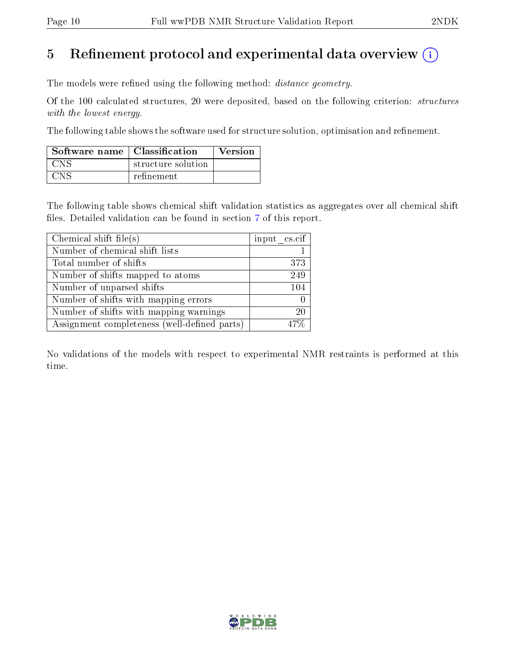# 5 Refinement protocol and experimental data overview  $\binom{1}{k}$

The models were refined using the following method: *distance geometry*.

Of the 100 calculated structures, 20 were deposited, based on the following criterion: structures with the lowest energy.

The following table shows the software used for structure solution, optimisation and refinement.

| Software name   Classification |                    | <b>Version</b> |
|--------------------------------|--------------------|----------------|
| CNS .                          | structure solution |                |
| <b>CNS</b>                     | refinement         |                |

The following table shows chemical shift validation statistics as aggregates over all chemical shift files. Detailed validation can be found in section [7](#page-13-0) of this report.

| Chemical shift file(s)                       | input cs.cif |
|----------------------------------------------|--------------|
| Number of chemical shift lists               |              |
| Total number of shifts                       | 373          |
| Number of shifts mapped to atoms             | 249          |
| Number of unparsed shifts                    | 104          |
| Number of shifts with mapping errors         |              |
| Number of shifts with mapping warnings       | 20           |
| Assignment completeness (well-defined parts) | $47\%$       |

No validations of the models with respect to experimental NMR restraints is performed at this time.

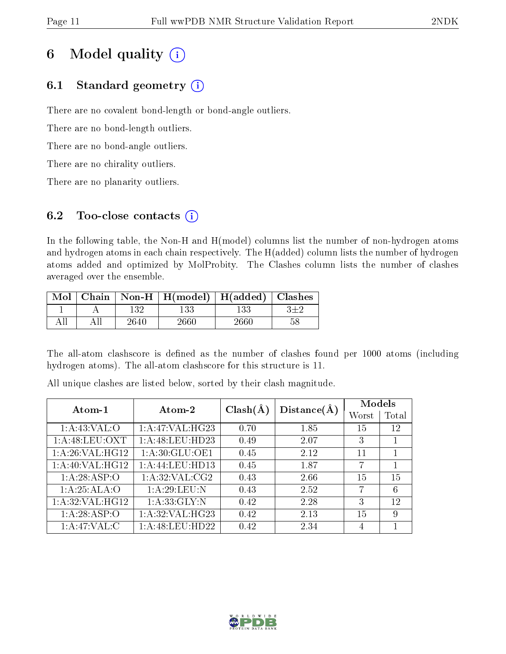# 6 Model quality  $(i)$

# 6.1 Standard geometry  $(i)$

There are no covalent bond-length or bond-angle outliers.

There are no bond-length outliers.

There are no bond-angle outliers.

There are no chirality outliers.

There are no planarity outliers.

# 6.2 Too-close contacts  $(i)$

In the following table, the Non-H and H(model) columns list the number of non-hydrogen atoms and hydrogen atoms in each chain respectively. The H(added) column lists the number of hydrogen atoms added and optimized by MolProbity. The Clashes column lists the number of clashes averaged over the ensemble.

| Mol |      | Chain   Non-H   H(model)   H(added)   Clashes |        |    |
|-----|------|-----------------------------------------------|--------|----|
|     | 132  |                                               | 133    |    |
|     | 2640 | 2660 <sup>.</sup>                             | 2660 - | 58 |

The all-atom clashscore is defined as the number of clashes found per 1000 atoms (including hydrogen atoms). The all-atom clashscore for this structure is 11.

| Atom-1            | Atom-2          | $Clash(\AA)$ | Distance(A) | Models |       |
|-------------------|-----------------|--------------|-------------|--------|-------|
|                   |                 |              |             | Worst  | Total |
| 1: A:43:VAL:O     | 1:A:47:VAL:HG23 | 0.70         | 1.85        | 15     | 12    |
| 1: A:48: LEU: OXT | 1:A:48:LEU:HD23 | 0.49         | 2.07        | 3      |       |
| 1:A:26:VAL:HG12   | 1:A:30:GLU:OE1  | 0.45         | 2.12        | 11     |       |
| 1:A:40:VAL:HG12   | 1:A:44:LEU:HD13 | 0.45         | 1.87        | 7      | 1     |
| 1:A:28:ASP:O      | 1:A:32:VAL:CG2  | 0.43         | 2.66        | 15     | 15    |
| 1:A:25:ALA:O      | 1:A:29:LEU:N    | 0.43         | 2.52        | 7      | 6     |
| 1:A:32:VAL:HG12   | 1: A:33: GLY:N  | 0.42         | 2.28        | 3      | 12    |
| 1:A:28:ASP:O      | 1:A:32:VAL:HG23 | 0.42         | 2.13        | 15     | 9     |
| 1: A:47: VAL:C    | 1:A:48:LEU:HD22 | 0.42         | 2.34        | 4      |       |

All unique clashes are listed below, sorted by their clash magnitude.

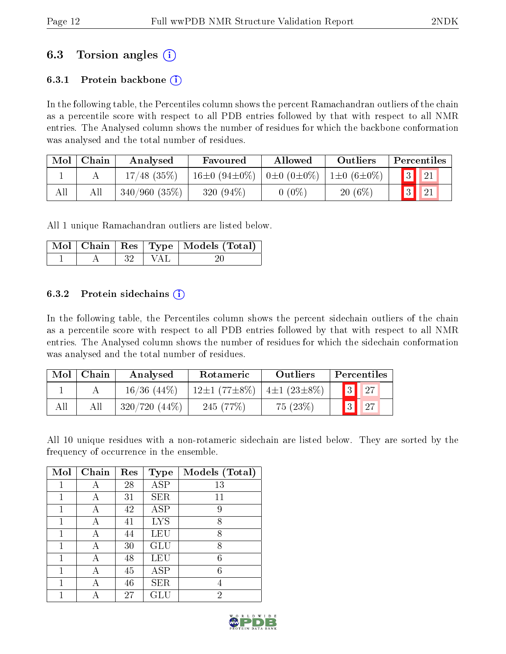# 6.3 Torsion angles (i)

## 6.3.1 Protein backbone  $(i)$

In the following table, the Percentiles column shows the percent Ramachandran outliers of the chain as a percentile score with respect to all PDB entries followed by that with respect to all NMR entries. The Analysed column shows the number of residues for which the backbone conformation was analysed and the total number of residues.

| Mol | Chain | Analysed      | Favoured                                         | Allowed  | Outliers         | Percentiles |               |  |
|-----|-------|---------------|--------------------------------------------------|----------|------------------|-------------|---------------|--|
|     |       | $17/48$ (35%) | $16\pm0$ (94 $\pm0\%$ )   0 $\pm0$ (0 $\pm0\%$ ) |          | $1\pm0(6\pm0\%)$ |             | $\sqrt{3}$ 21 |  |
| All |       | 340/960(35%)  | 320 $(94\%)$                                     | $0(0\%)$ | $20(6\%)$        |             | $\vert$ 21    |  |

All 1 unique Ramachandran outliers are listed below.

|  |       |         | Mol   Chain   Res   Type   Models (Total) |
|--|-------|---------|-------------------------------------------|
|  | -32 - | - I VAL |                                           |

#### 6.3.2 Protein sidechains  $\hat{1}$

In the following table, the Percentiles column shows the percent sidechain outliers of the chain as a percentile score with respect to all PDB entries followed by that with respect to all NMR entries. The Analysed column shows the number of residues for which the sidechain conformation was analysed and the total number of residues.

| Mol | Chain | Analysed         | Rotameric          | Outliers          | Percentiles |
|-----|-------|------------------|--------------------|-------------------|-------------|
|     |       | $16/36$ $(44\%)$ | $12\pm1(77\pm8\%)$ | $4\pm1(23\pm8\%)$ | 27          |
|     |       | $320/720(44\%)$  | 245(77%)           | 75(23%)           |             |

All 10 unique residues with a non-rotameric sidechain are listed below. They are sorted by the frequency of occurrence in the ensemble.

| Mol | Chain | Res | <b>Type</b> | Models (Total) |
|-----|-------|-----|-------------|----------------|
|     |       | 28  | <b>ASP</b>  | 13             |
|     | А     | 31  | <b>SER</b>  | 11             |
| 1   | А     | 42  | <b>ASP</b>  | 9              |
| 1   | А     | 41  | <b>LYS</b>  | 8              |
| 1   | А     | 44  | LEU         | 8              |
|     | А     | 30  | GLU         | 8              |
| 1   |       | 48  | LEU         | 6              |
| 1   | А     | 45  | ASP         | 6              |
| 1   |       | 46  | <b>SER</b>  |                |
|     |       | 27  | GLU         | $\overline{2}$ |

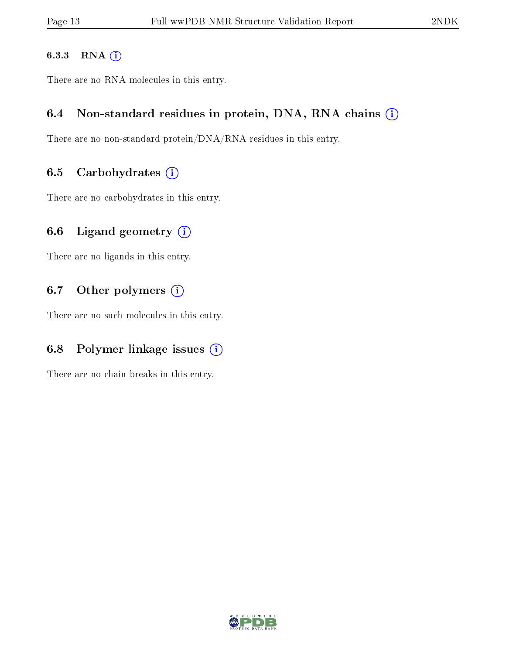### 6.3.3 RNA [O](https://www.wwpdb.org/validation/2017/NMRValidationReportHelp#rna)i

There are no RNA molecules in this entry.

## 6.4 Non-standard residues in protein, DNA, RNA chains (i)

There are no non-standard protein/DNA/RNA residues in this entry.

## 6.5 Carbohydrates  $(i)$

There are no carbohydrates in this entry.

# 6.6 Ligand geometry  $(i)$

There are no ligands in this entry.

# 6.7 [O](https://www.wwpdb.org/validation/2017/NMRValidationReportHelp#nonstandard_residues_and_ligands)ther polymers (i)

There are no such molecules in this entry.

# 6.8 Polymer linkage issues  $(i)$

There are no chain breaks in this entry.

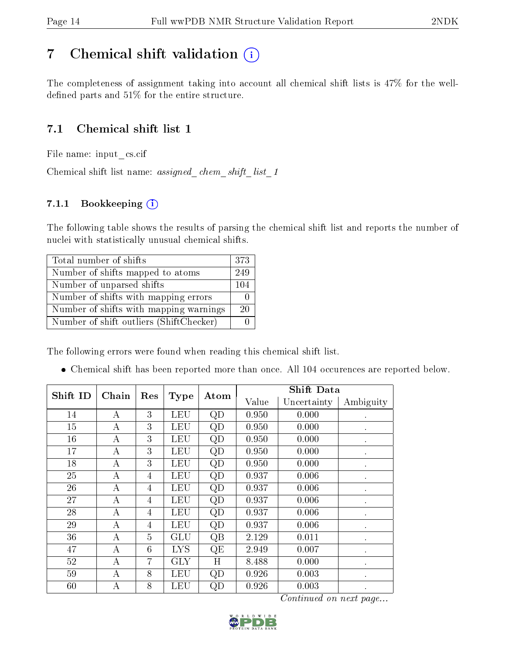# <span id="page-13-0"></span>7 Chemical shift validation  $(i)$

The completeness of assignment taking into account all chemical shift lists is 47% for the welldefined parts and  $51\%$  for the entire structure.

# 7.1 Chemical shift list 1

File name: input\_cs.cif

Chemical shift list name: assigned\_chem\_shift\_list\_1

## 7.1.1 Bookkeeping (i)

The following table shows the results of parsing the chemical shift list and reports the number of nuclei with statistically unusual chemical shifts.

| Total number of shifts                  | 373 |
|-----------------------------------------|-----|
| Number of shifts mapped to atoms        | 249 |
| Number of unparsed shifts               | 104 |
| Number of shifts with mapping errors    |     |
| Number of shifts with mapping warnings  | 20  |
| Number of shift outliers (ShiftChecker) |     |

The following errors were found when reading this chemical shift list.

Chemical shift has been reported more than once. All 104 occurences are reported below.

| Shift ID | Chain    | Res            |             | Atom | <b>Shift Data</b> |             |           |
|----------|----------|----------------|-------------|------|-------------------|-------------|-----------|
|          |          |                | <b>Type</b> |      | Value             | Uncertainty | Ambiguity |
| 14       | А        | 3              | LEU         | QD   | 0.950             | 0.000       |           |
| 15       | А        | 3              | LEU         | QD   | 0.950             | 0.000       |           |
| 16       | А        | 3              | <b>LEU</b>  | QD   | 0.950             | 0.000       | $\bullet$ |
| 17       | А        | 3              | <b>LEU</b>  | QD   | 0.950             | 0.000       |           |
| 18       | $\bf{A}$ | 3              | LEU         | QD   | 0.950             | 0.000       |           |
| 25       | А        | 4              | <b>LEU</b>  | QD   | 0.937             | 0.006       |           |
| 26       | А        | 4              | LEU         | QD   | 0.937             | 0.006       |           |
| 27       | А        | 4              | <b>LEU</b>  | QD   | 0.937             | 0.006       | $\bullet$ |
| 28       | А        | 4              | LEU         | QD   | 0.937             | 0.006       | $\bullet$ |
| 29       | А        | 4              | LEU         | QD   | 0.937             | 0.006       |           |
| 36       | A        | $\overline{5}$ | GLU         | QB   | 2.129             | 0.011       | ٠         |
| 47       | А        | 6              | <b>LYS</b>  | QE   | 2.949             | 0.007       |           |
| 52       | А        | 7              | <b>GLY</b>  | H    | 8.488             | 0.000       |           |
| 59       | А        | 8              | LEU         | QD   | 0.926             | 0.003       | $\bullet$ |
| 60       | А        | 8              | LEU         | QD   | 0.926             | 0.003       |           |

Continued on next page...

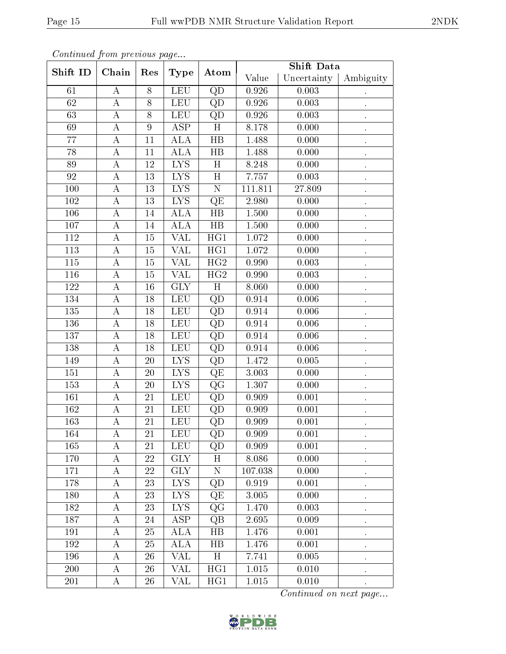| onwindow from provided page |                    |                  |                         |                        | <b>Shift Data</b> |             |           |
|-----------------------------|--------------------|------------------|-------------------------|------------------------|-------------------|-------------|-----------|
| Shift ID                    | Chain              | Res              | <b>Type</b>             | Atom                   | Value             | Uncertainty | Ambiguity |
| 61                          | $\boldsymbol{A}$   | 8                | LEU                     | QD                     | 0.926             | 0.003       |           |
| 62                          | $\bf{A}$           | $8\,$            | <b>LEU</b>              | QD                     | 0.926             | 0.003       |           |
| 63                          | $\bf{A}$           | 8                | <b>LEU</b>              | QD                     | 0.926             | 0.003       |           |
| 69                          | $\boldsymbol{A}$   | $\boldsymbol{9}$ | $\overline{\text{ASP}}$ | $\overline{H}$         | 8.178             | 0.000       |           |
| 77                          | A                  | 11               | <b>ALA</b>              | $\rm HB$               | 1.488             | 0.000       |           |
| 78                          | А                  | 11               | ALA                     | $_{\rm HB}$            | 1.488             | 0.000       |           |
| 89                          | $\boldsymbol{A}$   | 12               | <b>LYS</b>              | H                      | 8.248             | 0.000       |           |
| 92                          | $\boldsymbol{A}$   | 13               | <b>LYS</b>              | H                      | 7.757             | 0.003       |           |
| 100                         | $\boldsymbol{A}$   | 13               | <b>LYS</b>              | $\overline{\rm N}$     | 111.811           | 27.809      |           |
| 102                         | А                  | 13               | <b>LYS</b>              | QE                     | 2.980             | 0.000       |           |
| $\overline{106}$            | А                  | 14               | ALA                     | $\overline{HB}$        | 1.500             | 0.000       |           |
| 107                         | A                  | 14               | <b>ALA</b>              | $_{\rm HB}$            | 1.500             | 0.000       |           |
| 112                         | A                  | 15               | VAL                     | HG1                    | 1.072             | 0.000       |           |
| 113                         | А                  | $15\,$           | VAL                     | HG1                    | 1.072             | 0.000       |           |
| $115\,$                     | A                  | 15               | VAL                     | HG2                    | 0.990             | 0.003       |           |
| 116                         | $\boldsymbol{A}$   | 15               | VAL                     | $\overline{HG2}$       | 0.990             | 0.003       |           |
| 122                         | А                  | 16               | <b>GLY</b>              | H                      | 8.060             | 0.000       |           |
| 134                         | $\overline{\rm A}$ | 18               | LEU                     | $\overline{QD}$        | 0.914             | 0.006       |           |
| 135                         | $\boldsymbol{A}$   | 18               | <b>LEU</b>              | QD                     | 0.914             | 0.006       |           |
| 136                         | $\bf{A}$           | 18               | <b>LEU</b>              | QD                     | 0.914             | 0.006       |           |
| 137                         | $\boldsymbol{A}$   | 18               | LEU                     | QD                     | 0.914             | 0.006       |           |
| 138                         | $\boldsymbol{A}$   | 18               | LEU                     | QD                     | 0.914             | 0.006       |           |
| 149                         | $\boldsymbol{A}$   | $20\,$           | <b>LYS</b>              | QD                     | 1.472             | 0.005       |           |
| 151                         | $\boldsymbol{A}$   | $20\,$           | <b>LYS</b>              | $\overline{\text{QE}}$ | 3.003             | 0.000       |           |
| 153                         | $\boldsymbol{A}$   | <b>20</b>        | <b>LYS</b>              | QG                     | 1.307             | 0.000       |           |
| 161                         | $\boldsymbol{A}$   | 21               | <b>LEU</b>              | $\overline{QD}$        | 0.909             | 0.001       |           |
| 162                         | А                  | 21               | LEU                     | QD                     | 0.909             | 0.001       |           |
| 163                         | $\overline{\rm A}$ | 21               | LEU                     | $\overline{QD}$        | 0.909             | 0.001       |           |
| 164                         | A                  | 21               | LEU                     | QD                     | 0.909             | 0.001       |           |
| 165                         | А                  | 21               | <b>LEU</b>              | QD                     | 0.909             | 0.001       |           |
| 170                         | A                  | 22               | <b>GLY</b>              | H                      | 8.086             | 0.000       |           |
| 171                         | Α                  | 22               | <b>GLY</b>              | ${\bf N}$              | 107.038           | 0.000       |           |
| 178                         | А                  | 23               | <b>LYS</b>              | QD                     | 0.919             | 0.001       |           |
| 180                         | A                  | 23               | <b>LYS</b>              | QE                     | 3.005             | 0.000       |           |
| 182                         | A                  | 23               | <b>LYS</b>              | QG                     | 1.470             | 0.003       |           |
| 187                         | А                  | 24               | <b>ASP</b>              | QB                     | 2.695             | 0.009       |           |
| 191                         | $\boldsymbol{A}$   | 25               | <b>ALA</b>              | HB                     | 1.476             | 0.001       |           |
| 192                         | А                  | 25               | <b>ALA</b>              | $_{\rm HB}$            | 1.476             | 0.001       |           |
| 196                         | А                  | 26               | VAL                     | H                      | 7.741             | 0.005       |           |
| 200                         | A                  | 26               | VAL                     | HG1                    | 1.015             | 0.010       |           |
| 201                         | A                  | 26               | VAL                     | HG1                    | 1.015             | 0.010       |           |

Continued from previous page.

Continued on next page...

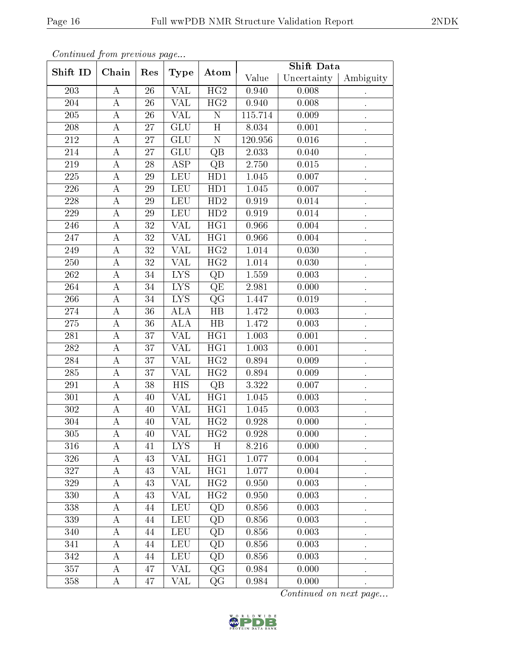| conninuu jioni picewwo page |                    |        |                           |                         | <b>Shift Data</b> |             |           |
|-----------------------------|--------------------|--------|---------------------------|-------------------------|-------------------|-------------|-----------|
| Shift ID                    | Chain              | Res    | <b>Type</b>               | Atom                    | Value             | Uncertainty | Ambiguity |
| 203                         | $\bf{A}$           | 26     | <b>VAL</b>                | $\overline{HG2}$        | 0.940             | 0.008       |           |
| 204                         | A                  | 26     | VAL                       | HG2                     | 0.940             | 0.008       |           |
| 205                         | $\bf{A}$           | 26     | $\overline{\text{VAL}}$   | ${\bf N}$               | 115.714           | 0.009       |           |
| 208                         | $\boldsymbol{A}$   | 27     | $\overline{\mathrm{GLU}}$ | $\overline{H}$          | 8.034             | 0.001       |           |
| $212\,$                     | $\boldsymbol{A}$   | $27\,$ | GLU                       | $\overline{N}$          | 120.956           | 0.016       |           |
| 214                         | $\bf{A}$           | 27     | GLU                       | QB                      | 2.033             | 0.040       |           |
| 219                         | A                  | 28     | <b>ASP</b>                | $\overline{Q}B$         | 2.750             | 0.015       |           |
| 225                         | $\bf{A}$           | 29     | <b>LEU</b>                | HD1                     | 1.045             | 0.007       |           |
| 226                         | $\boldsymbol{A}$   | 29     | LEU                       | HD1                     | 1.045             | 0.007       |           |
| 228                         | A                  | 29     | LEU                       | HD2                     | 0.919             | 0.014       |           |
| 229                         | $\bf{A}$           | $29\,$ | <b>LEU</b>                | HD2                     | 0.919             | 0.014       |           |
| 246                         | A                  | 32     | VAL                       | HG1                     | 0.966             | 0.004       |           |
| 247                         | $\boldsymbol{A}$   | 32     | $\overline{\text{VAL}}$   | HG1                     | 0.966             | 0.004       |           |
| 249                         | A                  | $32\,$ | VAL                       | $\overline{\text{HG2}}$ | 1.014             | 0.030       |           |
| 250                         | $\bf{A}$           | $32\,$ | VAL                       | HG2                     | 1.014             | 0.030       |           |
| 262                         | A                  | 34     | <b>LYS</b>                | QD                      | 1.559             | 0.003       |           |
| 264                         | A                  | 34     | <b>LYS</b>                | QE                      | 2.981             | 0.000       |           |
| 266                         | $\boldsymbol{A}$   | 34     | <b>LYS</b>                | $\overline{\text{QG}}$  | 1.447             | 0.019       |           |
| $274\,$                     | A                  | 36     | ALA                       | $\overline{HB}$         | 1.472             | 0.003       |           |
| $275\,$                     | $\boldsymbol{A}$   | 36     | <b>ALA</b>                | HB                      | 1.472             | 0.003       |           |
| 281                         | А                  | 37     | $\overline{\text{VAL}}$   | $\overline{HG1}$        | 1.003             | 0.001       |           |
| 282                         | $\boldsymbol{A}$   | 37     | VAL                       | HG1                     | 1.003             | 0.001       |           |
| 284                         | А                  | 37     | VAL                       | $\overline{HG2}$        | 0.894             | 0.009       |           |
| 285                         | $\boldsymbol{A}$   | 37     | VAL                       | HG2                     | 0.894             | 0.009       |           |
| 291                         | $\boldsymbol{A}$   | 38     | <b>HIS</b>                | QB                      | 3.322             | 0.007       |           |
| 301                         | $\boldsymbol{A}$   | 40     | $\overline{\text{VAL}}$   | $\overline{HG1}$        | 1.045             | 0.003       |           |
| 302                         | A                  | 40     | VAL                       | HG1                     | 1.045             | 0.003       |           |
| 304                         | $\overline{\rm A}$ | 40     | $\overline{\text{VAL}}$   | $\overline{\text{HG2}}$ | 0.928             | 0.000       |           |
| 305                         | A                  | 40     | VAL                       | HG2                     | 0.928             | 0.000       |           |
| 316                         | A                  | 41     | <b>LYS</b>                | H                       | 8.216             | 0.000       |           |
| 326                         | A                  | 43     | VAL                       | HG1                     | 1.077             | 0.004       |           |
| 327                         | $\bf{A}$           | 43     | VAL                       | HG1                     | 1.077             | 0.004       |           |
| 329                         | A                  | 43     | VAL                       | $\overline{HG2}$        | 0.950             | 0.003       |           |
| 330                         | Α                  | 43     | VAL                       | HG2                     | 0.950             | 0.003       |           |
| 338                         | A                  | 44     | <b>LEU</b>                | QD                      | 0.856             | 0.003       |           |
| 339                         | A                  | 44     | <b>LEU</b>                | QD                      | 0.856             | 0.003       |           |
| 340                         | Α                  | 44     | <b>LEU</b>                | QD                      | 0.856             | 0.003       |           |
| 341                         | A                  | 44     | <b>LEU</b>                | QD                      | 0.856             | 0.003       |           |
| 342                         | A                  | 44     | <b>LEU</b>                | QD                      | 0.856             | 0.003       |           |
| 357                         | Α                  | 47     | $\overline{\text{VAL}}$   | $\rm QG$                | 0.984             | 0.000       |           |
| 358                         | A                  | 47     | VAL                       | QG                      | 0.984             | 0.000       |           |

Continued from previous page.

Continued on next page...

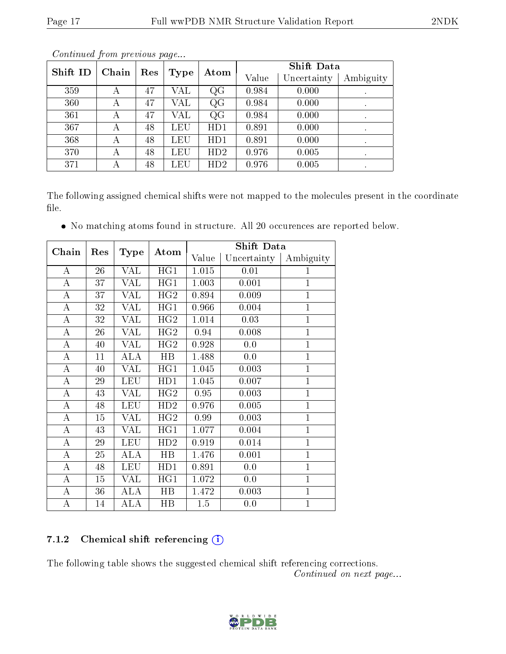|     | Shift ID<br>Chain<br>Res |    |      | Atom | <b>Shift Data</b> |             |           |
|-----|--------------------------|----|------|------|-------------------|-------------|-----------|
|     |                          |    | Type |      | Value             | Uncertainty | Ambiguity |
| 359 | А                        | 47 | VAL  | QG   | 0.984             | 0.000       | $\cdot$   |
| 360 | А                        | 47 | VAL  | QG   | 0.984             | 0.000       | $\bullet$ |
| 361 | А                        | 47 | VAL  | QG   | 0.984             | 0.000       | $\cdot$   |
| 367 | А                        | 48 | LEU  | HD1  | 0.891             | 0.000       |           |
| 368 | А                        | 48 | LEU  | HD1  | 0.891             | 0.000       |           |
| 370 | А                        | 48 | LEU  | HD2  | 0.976             | 0.005       |           |
| 371 | А                        | 48 | LEU  | HD2  | 0.976             | 0.005       | $\bullet$ |

Continued from previous page...

The following assigned chemical shifts were not mapped to the molecules present in the coordinate file.

No matching atoms found in structure. All 20 occurences are reported below.

| Chain              | Res |             | Atom        |       | <b>Shift Data</b> |                |
|--------------------|-----|-------------|-------------|-------|-------------------|----------------|
|                    |     | <b>Type</b> |             | Value | Uncertainty       | Ambiguity      |
| A                  | 26  | VAL         | HG1         | 1.015 | 0.01              | $\mathbf{1}$   |
| $\boldsymbol{A}$   | 37  | VAL         | HG1         | 1.003 | 0.001             | $\overline{1}$ |
| $\boldsymbol{A}$   | 37  | VAL         | HG2         | 0.894 | 0.009             | $\mathbf{1}$   |
| $\bf{A}$           | 32  | VAL         | HG1         | 0.966 | 0.004             | $\overline{1}$ |
| $\overline{\rm A}$ | 32  | VAL         | HG2         | 1.014 | 0.03              | $\overline{1}$ |
| А                  | 26  | VAL         | HG2         | 0.94  | 0.008             | $\mathbf{1}$   |
| A                  | 40  | VAL         | HG2         | 0.928 | 0.0               | $\mathbf{1}$   |
| A                  | 11  | ALA         | HB          | 1.488 | 0.0               | $\overline{1}$ |
| $\boldsymbol{A}$   | 40  | VAL         | HG1         | 1.045 | 0.003             | $\mathbf{1}$   |
| A                  | 29  | <b>LEU</b>  | HD1         | 1.045 | 0.007             | $\mathbf{1}$   |
| А                  | 43  | VAL         | HG2         | 0.95  | 0.003             | $\mathbf{1}$   |
| A                  | 48  | LEU         | HD2         | 0.976 | 0.005             | $\overline{1}$ |
| А                  | 15  | VAL         | HG2         | 0.99  | 0.003             | $\mathbf{1}$   |
| A                  | 43  | VAL         | HG1         | 1.077 | 0.004             | $\overline{1}$ |
| $\boldsymbol{A}$   | 29  | LEU         | HD2         | 0.919 | 0.014             | $\overline{1}$ |
| А                  | 25  | ALA         | $_{\rm HB}$ | 1.476 | 0.001             | $\mathbf{1}$   |
| A                  | 48  | LEU         | HD1         | 0.891 | 0.0               | $\overline{1}$ |
| $\bf{A}$           | 15  | VAL         | HG1         | 1.072 | 0.0               | $\overline{1}$ |
| $\boldsymbol{A}$   | 36  | ALA         | $_{\rm HB}$ | 1.472 | 0.003             | $\mathbf{1}$   |
| А                  | 14  | ALA         | HB          | 1.5   | 0.0               | $\mathbf 1$    |

#### 7.1.2 Chemical shift referencing  $(i)$

The following table shows the suggested chemical shift referencing corrections. Continued on next page...

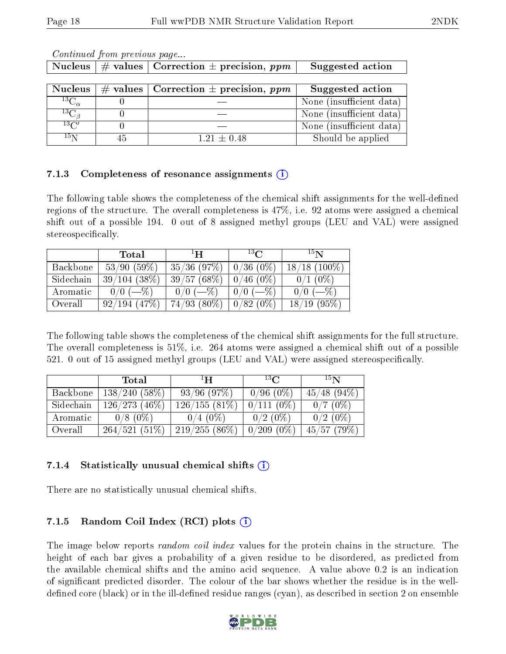| <b>Nucleus</b>      |             | # values   Correction $\pm$ precision, ppm | Suggested action         |
|---------------------|-------------|--------------------------------------------|--------------------------|
|                     |             |                                            |                          |
| <b>Nucleus</b>      | $\#$ values | $\top$ Correction $\pm$ precision, $ppm$   | Suggested action         |
| ${}^{13}C_{\alpha}$ |             |                                            | None (insufficient data) |
| $^{13}C_{\beta}$    |             |                                            | None (insufficient data) |
| $^{13}C'$           |             |                                            | None (insufficient data) |
| $15\,\mathrm{N}$    | 45          | $1.21 \pm 0.48$                            | Should be applied        |

Continued from previous page...

### 7.1.3 Completeness of resonance assignments  $\hat{I}$

The following table shows the completeness of the chemical shift assignments for the well-defined regions of the structure. The overall completeness is 47%, i.e. 92 atoms were assigned a chemical shift out of a possible 194. 0 out of 8 assigned methyl groups (LEU and VAL) were assigned stereospecifically.

|           | Total             | $\mathbf{H}^{\perp}$ | $^{13}C$     | 15N             |
|-----------|-------------------|----------------------|--------------|-----------------|
| Backbone  | 53/90(59%)        | $35/36$ (97\%)       | $0/36(0\%)$  | $18/18$ (100\%) |
| Sidechain | $39/104$ $(38\%)$ | 39/57(68%)           | $0/46$ (0\%) | $0/1$ (0%)      |
| Aromatic  | $0/0$ (-%)        | $0/0$ (-%)           | $0/0$ (-%)   | $(-\%)$         |
| Overall   | 92/194(47%)       | $74/93(80\%)$        | $0/82(0\%)$  | $18/19(95\%)$   |

The following table shows the completeness of the chemical shift assignments for the full structure. The overall completeness is 51%, i.e. 264 atoms were assigned a chemical shift out of a possible 521. 0 out of 15 assigned methyl groups (LEU and VAL) were assigned stereospecifically.

|           | Total           | $\mathbf{H}^{\perp}$ | $^{13}$ $\cap$ | 15 <sub>N</sub> |
|-----------|-----------------|----------------------|----------------|-----------------|
| Backbone  | 138/240(58%)    | $93/96$ $(97\%)$     | $0/96(0\%)$    | $45/48$ (94\%)  |
| Sidechain | $126/273(46\%)$ | $126/155(81\%)$      | $0/111(0\%)$   | $0/7(0\%)$      |
| Aromatic  | $0/8$ (0\%)     | $0/4$ (0\%)          | $0/2$ (0\%)    | $0/2$ (0\%)     |
| Overall   | $264/521(51\%)$ | 219/255(86%)         | $0/209(0\%)$   | 45/57(79%)      |

## 7.1.4 Statistically unusual chemical shifts  $(i)$

There are no statistically unusual chemical shifts.

## 7.1.5 Random Coil Index  $(RCI)$  plots  $(i)$

The image below reports *random coil index* values for the protein chains in the structure. The height of each bar gives a probability of a given residue to be disordered, as predicted from the available chemical shifts and the amino acid sequence. A value above 0.2 is an indication of signicant predicted disorder. The colour of the bar shows whether the residue is in the welldefined core (black) or in the ill-defined residue ranges (cyan), as described in section 2 on ensemble